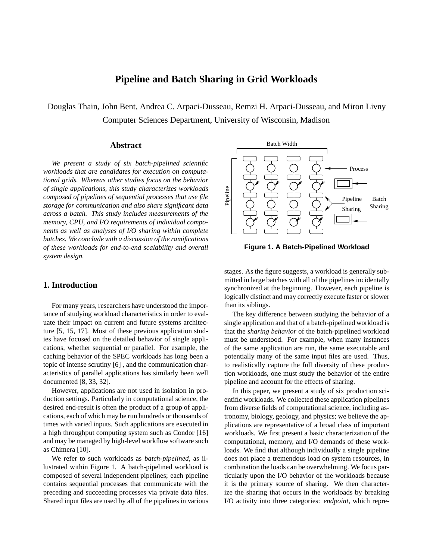# **Pipeline and Batch Sharing in Grid Workloads**

Douglas Thain, John Bent, Andrea C. Arpaci-Dusseau, Remzi H. Arpaci-Dusseau, and Miron Livny Computer Sciences Department, University of Wisconsin, Madison

#### **Abstract**

*We present a study of six batch-pipelined scientific workloads that are candidates for execution on computational grids. Whereas other studies focus on the behavior of single applications, this study characterizes workloads composed of pipelines of sequential processes that use file storage for communication and also share significant data across a batch. This study includes measurements of the memory, CPU, and I/O requirements of individual components as well as analyses of I/O sharing within complete batches. We conclude with a discussion of the ramifications of these workloads for end-to-end scalability and overall system design.*

## **1. Introduction**

For many years, researchers have understood the importance of studying workload characteristics in order to evaluate their impact on current and future systems architecture [5, 15, 17]. Most of these previous application studies have focused on the detailed behavior of single applications, whether sequential or parallel. For example, the caching behavior of the SPEC workloads has long been a topic of intense scrutiny [6] , and the communication characteristics of parallel applications has similarly been well documented [8, 33, 32].

However, applications are not used in isolation in production settings. Particularly in computational science, the desired end-result is often the product of a group of applications, each of which may be run hundreds or thousands of times with varied inputs. Such applications are executed in a high throughput computing system such as Condor [16] and may be managed by high-level workflow software such as Chimera [10].

We refer to such workloads as *batch-pipelined*, as illustrated within Figure 1. A batch-pipelined workload is composed of several independent pipelines; each pipeline contains sequential processes that communicate with the preceding and succeeding processes via private data files. Shared input files are used by all of the pipelines in various



**Figure 1. A Batch-Pipelined Workload**

stages. As the figure suggests, a workload is generally submitted in large batches with all of the pipelines incidentally synchronized at the beginning. However, each pipeline is logically distinct and may correctly execute faster or slower than its siblings.

The key difference between studying the behavior of a single application and that of a batch-pipelined workload is that the *sharing behavior* of the batch-pipelined workload must be understood. For example, when many instances of the same application are run, the same executable and potentially many of the same input files are used. Thus, to realistically capture the full diversity of these production workloads, one must study the behavior of the entire pipeline and account for the effects of sharing.

In this paper, we present a study of six production scientific workloads. We collected these application pipelines from diverse fields of computational science, including astronomy, biology, geology, and physics; we believe the applications are representative of a broad class of important workloads. We first present a basic characterization of the computational, memory, and I/O demands of these workloads. We find that although individually a single pipeline does not place a tremendous load on system resources, in combination the loads can be overwhelming. We focus particularly upon the I/O behavior of the workloads because it is the primary source of sharing. We then characterize the sharing that occurs in the workloads by breaking I/O activity into three categories: *endpoint*, which repre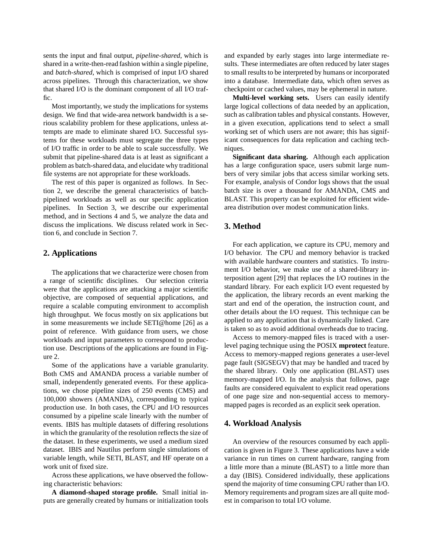sents the input and final output, *pipeline-shared*, which is shared in a write-then-read fashion within a single pipeline, and *batch-shared*, which is comprised of input I/O shared across pipelines. Through this characterization, we show that shared I/O is the dominant component of all I/O traffic.

Most importantly, we study the implications for systems design. We find that wide-area network bandwidth is a serious scalability problem for these applications, unless attempts are made to eliminate shared I/O. Successful systems for these workloads must segregate the three types of I/O traffic in order to be able to scale successfully. We submit that pipeline-shared data is at least as significant a problem as batch-shared data, and elucidate why traditional file systems are not appropriate for these workloads.

The rest of this paper is organized as follows. In Section 2, we describe the general characteristics of batchpipelined workloads as well as our specific application pipelines. In Section 3, we describe our experimental method, and in Sections 4 and 5, we analyze the data and discuss the implications. We discuss related work in Section 6, and conclude in Section 7.

# **2. Applications**

The applications that we characterize were chosen from a range of scientific disciplines. Our selection criteria were that the applications are attacking a major scientific objective, are composed of sequential applications, and require a scalable computing environment to accomplish high throughput. We focus mostly on six applications but in some measurements we include SETI@home [26] as a point of reference. With guidance from users, we chose workloads and input parameters to correspond to production use. Descriptions of the applications are found in Figure 2.

Some of the applications have a variable granularity. Both CMS and AMANDA process a variable number of small, independently generated events. For these applications, we chose pipeline sizes of 250 events (CMS) and 100,000 showers (AMANDA), corresponding to typical production use. In both cases, the CPU and I/O resources consumed by a pipeline scale linearly with the number of events. IBIS has multiple datasets of differing resolutions in which the granularity of the resolution reflects the size of the dataset. In these experiments, we used a medium sized dataset. IBIS and Nautilus perform single simulations of variable length, while SETI, BLAST, and HF operate on a work unit of fixed size.

Across these applications, we have observed the following characteristic behaviors:

**A diamond-shaped storage profile.** Small initial inputs are generally created by humans or initialization tools and expanded by early stages into large intermediate results. These intermediates are often reduced by later stages to small results to be interpreted by humans or incorporated into a database. Intermediate data, which often serves as checkpoint or cached values, may be ephemeral in nature.

**Multi-level working sets.** Users can easily identify large logical collections of data needed by an application, such as calibration tables and physical constants. However, in a given execution, applications tend to select a small working set of which users are not aware; this has significant consequences for data replication and caching techniques.

**Significant data sharing.** Although each application has a large configuration space, users submit large numbers of very similar jobs that access similar working sets. For example, analysis of Condor logs shows that the usual batch size is over a thousand for AMANDA, CMS and BLAST. This property can be exploited for efficient widearea distribution over modest communication links.

## **3. Method**

For each application, we capture its CPU, memory and I/O behavior. The CPU and memory behavior is tracked with available hardware counters and statistics. To instrument I/O behavior, we make use of a shared-library interposition agent [29] that replaces the I/O routines in the standard library. For each explicit I/O event requested by the application, the library records an event marking the start and end of the operation, the instruction count, and other details about the I/O request. This technique can be applied to any application that is dynamically linked. Care is taken so as to avoid additional overheads due to tracing.

Access to memory-mapped files is traced with a userlevel paging technique using the POSIX **mprotect** feature. Access to memory-mapped regions generates a user-level page fault (SIGSEGV) that may be handled and traced by the shared library. Only one application (BLAST) uses memory-mapped I/O. In the analysis that follows, page faults are considered equivalent to explicit read operations of one page size and non-sequential access to memorymapped pages is recorded as an explicit seek operation.

## **4. Workload Analysis**

An overview of the resources consumed by each application is given in Figure 3. These applications have a wide variance in run times on current hardware, ranging from a little more than a minute (BLAST) to a little more than a day (IBIS). Considered individually, these applications spend the majority of time consuming CPU rather than I/O. Memory requirements and program sizes are all quite modest in comparison to total I/O volume.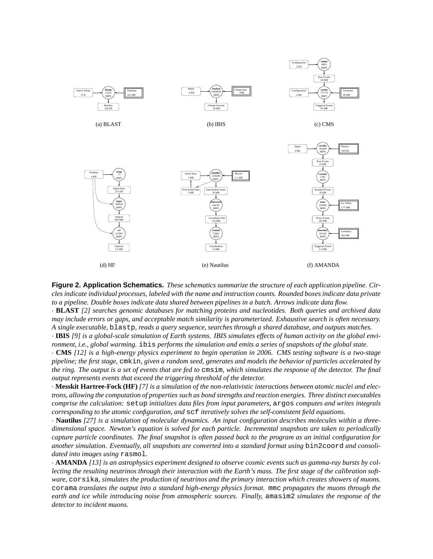

**Figure 2. Application Schematics.** *These schematics summarize the structure of each application pipeline. Cir*cles indicate individual processes, labeled with the name and instruction counts. Rounded boxes indicate data private *to a pipeline. Double boxes indicate data shared between pipelines in a batch. Arrows indicate data flow.*

 **BLAST** *[2] searches genomic databases for matching proteins and nucleotides. Both queries and archived data* may include errors or gaps, and acceptable match similarity is parameterized. Exhaustive search is often necessary. *A single executable,* blastp*, reads a query sequence, searches through a shared database, and outputs matches.*

**IBIS** [9] is a global-scale simulation of Earth systems. IBIS simulates effects of human activity on the global environment, i.e., global warming. ibis performs the simulation and emits a series of snapshots of the global state.

**CMS** [12] is a high-energy physics experiment to begin operation in 2006. CMS testing software is a two-stage pipeline; the first stage, cmkin, given a random seed, generates and models the behavior of particles accelerated by the ring. The output is a set of events that are fed to cmsim, which simulates the response of the detector. The final *output represents events that exceed the triggering threshold of the detector.*

**Messkit Hartree-Fock (HF)** [7] is a simulation of the non-relativistic interactions between atomic nuclei and electrons, allowing the computation of properties such as bond strengths and reaction energies. Three distinct executables *comprise the calculation:* setup *initializes data files from input parameters,* argos *computes and writes integrals corresponding to the atomic configuration, and* scf *iteratively solves the self-consistent field equations.*

 **Nautilus** *[27] is a simulation of molecular dynamics. An input configuration describes molecules within a threedimensional space. Newton's equation is solved for each particle. Incremental snapshots are taken to periodically* capture particle coordinates. The final snapshot is often passed back to the program as an initial configuration for *another simulation. Eventually, all snapshots are converted into a standard format using* bin2coord *and consolidated into images using* rasmol*.*

 $\cdot$  AMANDA [13] is an astrophysics experiment designed to observe cosmic events such as gamma-ray bursts by collecting the resulting neutrinos through their interaction with the Earth's mass. The first stage of the calibration soft*ware,* corsika*, simulates the production of neutrinos and the primary interaction which creates showers of muons.* corama *translates the output into a standard high-energy physics format.* mmc *propagates the muons through the earth and ice while introducing noise from atmospheric sources. Finally,* amasim2 *simulates the response of the detector to incident muons.*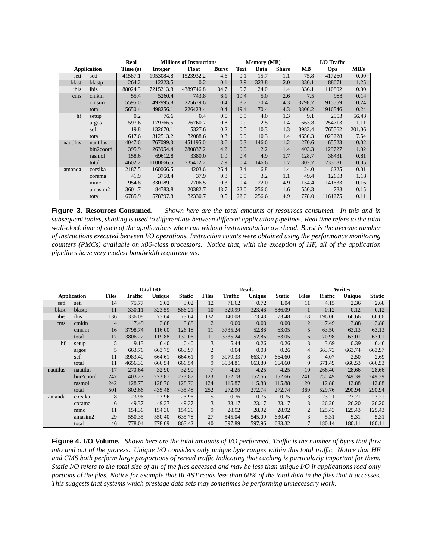|                         |                                | Real    | <b>Millions of Instructions</b> |              |              |      | <b>Memory (MB)</b> |              | I/O Traffic |            |        |  |
|-------------------------|--------------------------------|---------|---------------------------------|--------------|--------------|------|--------------------|--------------|-------------|------------|--------|--|
|                         | <b>Application</b><br>Time (s) |         | <b>Integer</b>                  | <b>Float</b> | <b>Burst</b> | Text | Data               | <b>Share</b> | MВ          | <b>Ops</b> | MB/s   |  |
| seti                    | seti                           | 41587.1 | 1953084.8                       | 1523932.2    | 4.6          | 0.1  | 15.7               | 1.1          | 75.8        | 417260     | 0.00   |  |
| blast                   | blastp                         | 264.2   | 12223.5                         | 0.2          | 0.1          | 2.9  | 323.8              | 2.0          | 330.1       | 88671      | 1.25   |  |
| ibis                    | ibis                           | 88024.3 | 7215213.8                       | 4389746.8    | 104.7        | 0.7  | 24.0               | 1.4          | 336.1       | 110802     | 0.00   |  |
| $\mathrm{cm}\mathrm{s}$ | cmkin                          | 55.4    | 5260.4                          | 743.8        | 6.1          | 19.4 | 5.0                | 2.6          | 7.5         | 988        | 0.14   |  |
|                         | cmsim                          | 15595.0 | 492995.8                        | 225679.6     | 0.4          | 8.7  | 70.4               | 4.3          | 3798.7      | 1915559    | 0.24   |  |
|                         | total                          | 15650.4 | 498256.1                        | 226423.4     | 0.4          | 19.4 | 70.4               | 4.3          | 3806.2      | 1916546    | 0.24   |  |
| hf                      | setup                          | 0.2     | 76.6                            | 0.4          | 0.0          | 0.5  | 4.0                | 1.3          | 9.1         | 2953       | 56.43  |  |
|                         | argos                          | 597.6   | 179766.5                        | 26760.7      | 0.8          | 0.9  | 2.5                | 1.4          | 663.8       | 254713     | 1.11   |  |
|                         | scf                            | 19.8    | 132670.1                        | 5327.6       | 0.2          | 0.5  | 10.3               | 1.3          | 3983.4      | 765562     | 201.06 |  |
|                         | total                          | 617.6   | 312513.2                        | 32088.6      | 0.3          | 0.9  | 10.3               | 1.4          | 4656.3      | 1023228    | 7.54   |  |
| nautilus                | nautilus                       | 14047.6 | 767099.3                        | 451195.0     | 18.6         | 0.3  | 146.6              | 1.2          | 270.6       | 65523      | 0.02   |  |
|                         | bin2coord                      | 395.9   | 263954.4                        | 280837.2     | 4.2          | 0.0  | 2.2                | 1.4          | 403.3       | 129727     | 1.02   |  |
|                         | rasmol                         | 158.6   | 69612.8                         | 3380.0       | 1.9          | 0.4  | 4.9                | 1.7          | 128.7       | 38431      | 0.81   |  |
|                         | total                          | 14602.2 | 1100666.5                       | 735412.2     | 7.9          | 0.4  | 146.6              | 1.7          | 802.7       | 233681     | 0.05   |  |
| amanda                  | corsika                        | 2187.5  | 160066.5                        | 4203.6       | 26.4         | 2.4  | 6.8                | 1.4          | 24.0        | 6225       | 0.01   |  |
|                         | corama                         | 41.9    | 3758.4                          | 37.9         | 0.3          | 0.5  | 3.2                | 1.1          | 49.4        | 12693      | 1.18   |  |
|                         | mmc                            | 954.8   | 330189.1                        | 7706.5       | 0.3          | 0.4  | 22.0               | 4.9          | 154.4       | 1141633    | 0.16   |  |
|                         | amasim2                        | 3601.7  | 84783.8                         | 20382.7      | 143.7        | 22.0 | 256.6              | 1.6          | 550.3       | 733        | 0.15   |  |
|                         | total                          | 6785.9  | 578797.8                        | 32330.7      | 0.5          | 22.0 | 256.6              | 4.9          | 778.0       | 1161275    | 0.11   |  |

**Figure 3. Resources Consumed.** *Shown here are the total amounts of resources consumed. In this and in* subsequent tables, shading is used to differentiate between different application pipelines. Real time refers to the total wall-clock time of each of the applications when run without instrumentation overhead. Burst is the average number *of instructions executed between I/O operations. Instruction counts were obtained using the performance monitoring* counters (PMCs) available on x86-class processors. Notice that, with the exception of HF, all of the application *pipelines have very modest bandwidth requirements.*

|                                                                          |           |                |         | Total I/O |        |                |                | <b>Reads</b> |               | <b>Writes</b>  |                |        |               |  |
|--------------------------------------------------------------------------|-----------|----------------|---------|-----------|--------|----------------|----------------|--------------|---------------|----------------|----------------|--------|---------------|--|
| <b>Application</b><br><b>Files</b><br>Traffic<br>Unique<br><b>Static</b> |           |                |         |           |        | <b>Files</b>   | <b>Traffic</b> | Unique       | <b>Static</b> | <b>Files</b>   | <b>Traffic</b> | Unique | <b>Static</b> |  |
| seti                                                                     | seti      | 14             | 75.77   | 3.02      | 3.02   | 12             | 71.62          | 0.72         | 1.04          | 11             | 4.15           | 2.36   | 2.68          |  |
| blast                                                                    | blastp    | 11             | 330.11  | 323.59    | 586.21 | 10             | 329.99         | 323.46       | 586.09        |                | 0.12           | 0.12   | 0.12          |  |
| ibis                                                                     | ibis      | 136            | 336.08  | 73.64     | 73.64  | 132            | 140.08         | 73.48        | 73.48         | 118            | 196.00         | 66.66  | 66.66         |  |
| cms                                                                      | cmkin     | $\overline{4}$ | 7.49    | 3.88      | 3.88   | $\overline{2}$ | 0.00           | 0.00         | 0.00          | $\overline{2}$ | 7.49           | 3.88   | 3.88          |  |
|                                                                          | cmsim     | 16             | 3798.74 | 116.00    | 126.18 | 11             | 3735.24        | 52.86        | 63.05         | 5              | 63.50          | 63.13  | 63.13         |  |
|                                                                          | total     | 17             | 3806.22 | 119.88    | 130.06 | 11             | 3735.24        | 52.86        | 63.05         | 6              | 70.98          | 67.01  | 67.01         |  |
| hf                                                                       | setup     | 5              | 9.13    | 0.40      | 0.40   | 3              | 5.44           | 0.26         | 0.26          | 3              | 3.69           | 0.39   | 0.40          |  |
|                                                                          | argos     | 5              | 663.76  | 663.75    | 663.97 | $\overline{2}$ | 0.04           | 0.03         | 0.26          | 4              | 663.73         | 663.74 | 663.97        |  |
|                                                                          | scf       | 11             | 3983.40 | 664.61    | 664.61 | 9              | 3979.33        | 663.79       | 664.60        | 8              | 4.07           | 2.50   | 2.69          |  |
|                                                                          | total     | 11             | 4656.30 | 666.54    | 666.54 | 9              | 3984.81        | 663.80       | 664.60        | 9              | 671.49         | 666.53 | 666.53        |  |
| nautilus                                                                 | nautilus  | 17             | 270.64  | 32.90     | 32.90  | 7              | 4.25           | 4.25         | 4.25          | 10             | 266.40         | 28.66  | 28.66         |  |
|                                                                          | bin2coord | 247            | 403.27  | 273.87    | 273.87 | 123            | 152.78         | 152.66       | 152.66        | 241            | 250.49         | 249.39 | 249.39        |  |
|                                                                          | rasmol    | 242            | 128.75  | 128.76    | 128.76 | 124            | 115.87         | 115.88       | 115.88        | 120            | 12.88          | 12.88  | 12.88         |  |
|                                                                          | total     | 501            | 802.66  | 435.48    | 435.48 | 252            | 272.90         | 272.74       | 272.74        | 369            | 529.76         | 290.94 | 290.94        |  |
| amanda                                                                   | corsika   | 8              | 23.96   | 23.96     | 23.96  | 5              | 0.76           | 0.75         | 0.75          | 3              | 23.21          | 23.21  | 23.21         |  |
|                                                                          | corama    | 6              | 49.37   | 49.37     | 49.37  | 3              | 23.17          | 23.17        | 23.17         | 3              | 26.20          | 26.20  | 26.20         |  |
|                                                                          | mmc       | 11             | 154.36  | 154.36    | 154.36 | 9              | 28.92          | 28.92        | 28.92         | 2              | 125.43         | 125.43 | 125.43        |  |
|                                                                          | amasim2   | 29             | 550.35  | 550.40    | 635.78 | 27             | 545.04         | 545.09       | 630.47        | 3              | 5.31           | 5.31   | 5.31          |  |
|                                                                          | total     | 46             | 778.04  | 778.09    | 863.42 | 40             | 597.89         | 597.96       | 683.32        | 7              | 180.14         | 180.11 | 180.11        |  |

Figure 4. I/O Volume. Shown here are the total amounts of I/O performed. Traffic is the number of bytes that flow into and out of the process. Unique I/O considers only unique byte ranges within this total traffic. Notice that HF and CMS both perform large proportions of reread traffic indicating that caching is particularly important for them. Static I/O refers to the total size of all of the files accessed and may be less than unique I/O if applications read only portions of the files. Notice for example that BLAST reads less than 60% of the total data in the files that it accesses. *This suggests that systems which prestage data sets may sometimes be performing unnecessary work.*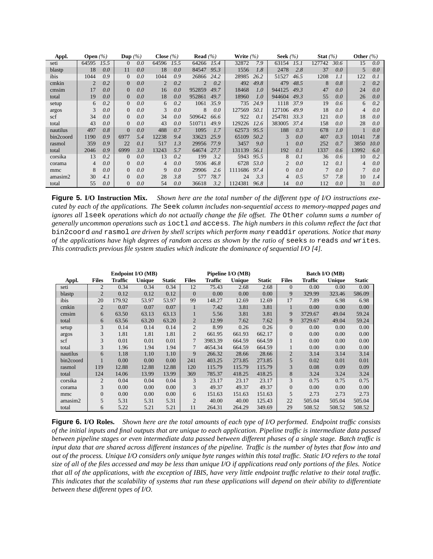| Appl.     | <b>Open</b> $(\%)$ |      | Dup $(\% )$    |     | Close $(\% )$  |      |        | <b>Read</b> $(\%)$ |         | Write $(%$ | Seek $(%$      |      | Stat $(%$ |      | Other $(%$     |      |
|-----------|--------------------|------|----------------|-----|----------------|------|--------|--------------------|---------|------------|----------------|------|-----------|------|----------------|------|
| seti      | 64595              | 15.5 | $\Omega$       | 0.0 | 64596          | 15.5 | 64266  | 15.4               | 32872   | 7.9        | 63154          | 15.1 | 127742    | 30.6 | 15             | 0.0  |
| blastp    | 18                 | 0.0  | 11             | 0.0 | 18             | 0.0  | 84547  | 95.3               | 1556    | 1.8        | 2478           | 2.8  | 37        | 0.0  | 5              | 0.0  |
| ibis      | 1044               | 0.9  | $\overline{0}$ | 0.0 | 1044           | 0.9  | 26866  | 24.2               | 28985   | 26.2       | 51527          | 46.5 | 1208      | 1.1  | 122            | 0.1  |
| cmkin     | $\overline{c}$     | 0.2  | $\theta$       | 0.0 | $\overline{c}$ | 0.2  | 2      | 0.2                | 492     | 49.8       | 479            | 48.5 | 8         | 0.8  | $\overline{2}$ | 0.2  |
| cmsim     | 17                 | 0.0  | $\overline{0}$ | 0.0 | 16             | 0.0  | 952859 | 49.7               | 18468   | 1.0        | 944125         | 49.3 | 47        | 0.0  | 24             | 0.0  |
| total     | 19                 | 0.0  | $\overline{0}$ | 0.0 | 18             | 0.0  | 952861 | 49.7               | 18960   | 1.0        | 944604         | 49.3 | 55        | 0.0  | 26             | 0.0  |
| setup     | 6                  | 0.2  | $\Omega$       | 0.0 | 6              | 0.2  | 1061   | 35.9               | 735     | 24.9       | 1118           | 37.9 | 19        | 0.6  | 6              | 0.2  |
| argos     | 3                  | 0.0  | $\overline{0}$ | 0.0 | 3              | 0.0  | 8      | 0.0                | 127569  | 50.1       | 127106         | 49.9 | 18        | 0.0  | 4              | 0.0  |
| scf       | 34                 | 0.0  | $\overline{0}$ | 0.0 | 34             | 0.0  | 509642 | 66.6               | 922     | 0.1        | 254781         | 33.3 | 121       | 0.0  | 18             | 0.0  |
| total     | 43                 | 0.0  | $\mathbf{0}$   | 0.0 | 43             | 0.0  | 510711 | 49.9               | 129226  | 12.6       | 383005         | 37.4 | 158       | 0.0  | 28             | 0.0  |
| nautilus  | 497                | 0.8  | $\Omega$       | 0.0 | 488            | 0.7  | 1095   | 1.7                | 62573   | 95.5       | 188            | 0.3  | 678       | 1.0  |                | 0.0  |
| bin2coord | 1190               | 0.9  | 6977           | 5.4 | 12238          | 9.4  | 33623  | 25.9               | 65109   | 50.2       | 3              | 0.0  | 407       | 0.3  | 10141          | 7.8  |
| rasmol    | 359                | 0.9  | 22             | 0.1 | 517            | 1.3  | 29956  | 77.9               | 3457    | 9.0        |                | 0.0  | 252       | 0.7  | 3850           | 10.0 |
| total     | 2046               | 0.9  | 6999           | 3.0 | 13243          | 5.7  | 64674  | 27.7               | 131139  | 56.1       | 192            | 0.1  | 1337      | 0.6  | 13992          | 6.0  |
| corsika   | 13                 | 0.2  | $\Omega$       | 0.0 | 13             | 0.2  | 199    | 3.2                | 5943    | 95.5       | 8              | 0.1  | 36        | 0.6  | 10             | 0.2  |
| corama    | 4                  | 0.0  | $\overline{0}$ | 0.0 | 4              | 0.0  | 5936   | 46.8               | 6728    | 53.0       | $\overline{c}$ | 0.0  | 12        | 0.1  | 4              | 0.0  |
| mmc       | 8                  | 0.0  | $\overline{0}$ | 0.0 | 9              | 0.0  | 29906  | 2.6                | 1111686 | 97.4       | $\theta$       | 0.0  |           | 0.0  |                | 0.0  |
| amasim2   | 30                 | 4.1  | $\mathbf{0}$   | 0.0 | 28             | 3.8  | 577    | 78.7               | 24      | 3.3        | 4              | 0.5  | 57        | 7.8  | 10             | 1.4  |
| total     | 55                 | 0.0  | $\Omega$       | 0.0 | 54             | 0.0  | 36618  | 3.2                | 1124381 | 96.8       | 14             | 0.0  | 112       | 0.0  | 31             | 0.0  |

**Figure 5. I/O Instruction Mix.** Shown here are the total number of the different type of I/O instructions exe*cuted by each of the applications. The* Seek *column includes non-sequential access to memory-mapped pages and* ignores all 1seek operations which do not actually change the file offset. The Other column sums a number of generally uncommon operations such as ioctl and access. The high numbers in this column reflect the fact that bin2coord *and* rasmol *are driven by shell scripts which perform many* readdir *operations. Notice that many* of the applications have high degrees of random access as shown by the ratio of seeks to reads and writes. *This contradicts previous file system studies which indicate the dominance of sequential I/O [4].*

|           |                |         | Endpoint I/O (MB) |               |                |                | Pipeline I/O (MB) |               | Batch I/O (MB) |         |        |               |  |
|-----------|----------------|---------|-------------------|---------------|----------------|----------------|-------------------|---------------|----------------|---------|--------|---------------|--|
| Appl.     | <b>Files</b>   | Traffic | <b>Unique</b>     | <b>Static</b> | <b>Files</b>   | <b>Traffic</b> | Unique            | <b>Static</b> | <b>Files</b>   | Traffic | Unique | <b>Static</b> |  |
| seti      | $\overline{2}$ | 0.34    | 0.34              | 0.34          | 12             | 75.43          | 2.68              | 2.68          | $\overline{0}$ | 0.00    | 0.00   | 0.00          |  |
| blastp    | $\overline{2}$ | 0.12    | 0.12              | 0.12          | $\Omega$       | 0.00           | 0.00              | 0.00          | 9              | 329.99  | 323.46 | 586.09        |  |
| ibis      | 20             | 179.92  | 53.97             | 53.97         | 99             | 148.27         | 12.69             | 12.69         | 17             | 7.89    | 6.98   | 6.98          |  |
| cmkin     | $\overline{2}$ | 0.07    | 0.07              | 0.07          | 1              | 7.42           | 3.81              | 3.81          | 1              | 0.00    | 0.00   | 0.00          |  |
| cmsim     | 6              | 63.50   | 63.13             | 63.13         | 1              | 5.56           | 3.81              | 3.81          | 9              | 3729.67 | 49.04  | 59.24         |  |
| total     | 6              | 63.56   | 63.20             | 63.20         | $\overline{2}$ | 12.99          | 7.62              | 7.62          | 9              | 3729.67 | 49.04  | 59.24         |  |
| setup     | 3              | 0.14    | 0.14              | 0.14          | $\overline{2}$ | 8.99           | 0.26              | 0.26          | $\overline{0}$ | 0.00    | 0.00   | 0.00          |  |
| argos     | 3              | 1.81    | 1.81              | 1.81          | $\overline{2}$ | 661.95         | 661.93            | 662.17        | $\theta$       | 0.00    | 0.00   | 0.00          |  |
| scf       | 3              | 0.01    | 0.01              | 0.01          | 7              | 3983.39        | 664.59            | 664.59        | $\mathbf{1}$   | 0.00    | 0.00   | 0.00          |  |
| total     | 3              | 1.96    | 1.94              | 1.94          | 7              | 4654.34        | 664.59            | 664.59        | $\mathbf{1}$   | 0.00    | 0.00   | 0.00          |  |
| nautilus  | 6              | 1.18    | 1.10              | 1.10          | 9              | 266.32         | 28.66             | 28.66         | $\overline{2}$ | 3.14    | 3.14   | 3.14          |  |
| bin2coord |                | 0.00    | 0.00              | 0.00          | 241            | 403.25         | 273.85            | 273.85        | 5              | 0.02    | 0.01   | 0.01          |  |
| rasmol    | 119            | 12.88   | 12.88             | 12.88         | 120            | 115.79         | 115.79            | 115.79        | 3              | 0.08    | 0.09   | 0.09          |  |
| total     | 124            | 14.06   | 13.99             | 13.99         | 369            | 785.37         | 418.25            | 418.25        | 8              | 3.24    | 3.24   | 3.24          |  |
| corsika   | 2              | 0.04    | 0.04              | 0.04          | 3              | 23.17          | 23.17             | 23.17         | 3              | 0.75    | 0.75   | 0.75          |  |
| corama    | 3              | 0.00    | 0.00              | 0.00          | 3              | 49.37          | 49.37             | 49.37         | $\overline{0}$ | 0.00    | 0.00   | 0.00          |  |
| mmc       | $\theta$       | 0.00    | 0.00              | 0.00          | 6              | 151.63         | 151.63            | 151.63        | 5              | 2.73    | 2.73   | 2.73          |  |
| amasim2   | 5              | 5.31    | 5.31              | 5.31          | $\overline{2}$ | 40.00          | 40.00             | 125.43        | 22             | 505.04  | 505.04 | 505.04        |  |
| total     | 6              | 5.22    | 5.21              | 5.21          | 11             | 264.31         | 264.29            | 349.69        | 29             | 508.52  | 508.52 | 508.52        |  |

Figure 6. I/O Roles. Shown here are the total amounts of each type of I/O performed. Endpoint traffic consists of the initial inputs and final outputs that are unique to each application. Pipeline traffic is intermediate data passed between pipeline stages or even intermediate data passed between different phases of a single stage. Batch traffic is input data that are shared across different instances of the pipeline. Traffic is the number of bytes that flow into and out of the process. Unique I/O considers only unique byte ranges within this total traffic. Static I/O refers to the total size of all of the files accessed and may be less than unique I/O if applications read only portions of the files. Notice that all of the applications, with the exception of IBIS, have very little endpoint traffic relative to their total traffic. This indicates that the scalability of systems that run these applications will depend on their ability to differentiate *between these different types of I/O.*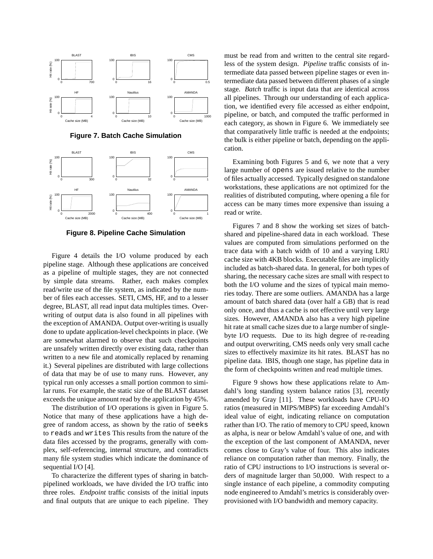

**Figure 7. Batch Cache Simulation**



**Figure 8. Pipeline Cache Simulation**

Figure 4 details the I/O volume produced by each pipeline stage. Although these applications are conceived as a pipeline of multiple stages, they are not connected by simple data streams. Rather, each makes complex read/write use of the file system, as indicated by the number of files each accesses. SETI, CMS, HF, and to a lesser degree, BLAST, all read input data multiples times. Overwriting of output data is also found in all pipelines with the exception of AMANDA. Output over-writing is usually done to update application-level checkpoints in place. (We are somewhat alarmed to observe that such checkpoints are unsafely written directly over existing data, rather than written to a new file and atomically replaced by renaming it.) Several pipelines are distributed with large collections of data that may be of use to many runs. However, any typical run only accesses a small portion common to similar runs. For example, the static size of the BLAST dataset exceeds the unique amount read by the application by 45%.

The distribution of I/O operations is given in Figure 5. Notice that many of these applications have a high degree of random access, as shown by the ratio of seeks to reads and writes This results from the nature of the data files accessed by the programs, generally with complex, self-referencing, internal structure, and contradicts many file system studies which indicate the dominance of sequential I/O [4].

To characterize the different types of sharing in batchpipelined workloads, we have divided the I/O traffic into three roles. *Endpoint* traffic consists of the initial inputs and final outputs that are unique to each pipeline. They

must be read from and written to the central site regardless of the system design. *Pipeline* traffic consists of intermediate data passed between pipeline stages or even intermediate data passed between different phases of a single stage. *Batch* traffic is input data that are identical across all pipelines. Through our understanding of each application, we identified every file accessed as either endpoint, pipeline, or batch, and computed the traffic performed in each category, as shown in Figure 6. We immediately see that comparatively little traffic is needed at the endpoints; the bulk is either pipeline or batch, depending on the application.

Examining both Figures 5 and 6, we note that a very large number of opens are issued relative to the number of files actually accessed. Typically designed on standalone workstations, these applications are not optimized for the realities of distributed computing, where opening a file for access can be many times more expensive than issuing a read or write.

Figures 7 and 8 show the working set sizes of batchshared and pipeline-shared data in each workload. These values are computed from simulations performed on the trace data with a batch width of 10 and a varying LRU cache size with 4KB blocks. Executable files are implicitly included as batch-shared data. In general, for both types of sharing, the necessary cache sizes are small with respect to both the I/O volume and the sizes of typical main memories today. There are some outliers. AMANDA has a large amount of batch shared data (over half a GB) that is read only once, and thus a cache is not effective until very large sizes. However, AMANDA also has a very high pipeline hit rate at small cache sizes due to a large number of singlebyte I/O requests. Due to its high degree of re-reading and output overwriting, CMS needs only very small cache sizes to effectively maximize its hit rates. BLAST has no pipeline data. IBIS, though one stage, has pipeline data in the form of checkpoints written and read multiple times.

Figure 9 shows how these applications relate to Amdahl's long standing system balance ratios [3], recently amended by Gray [11]. These workloads have CPU-IO ratios (measured in MIPS/MBPS) far exceeding Amdahl's ideal value of eight, indicating reliance on computation rather than I/O. The ratio of memory to CPU speed, known as alpha, is near or below Amdahl's value of one, and with the exception of the last component of AMANDA, never comes close to Gray's value of four. This also indicates reliance on computation rather than memory. Finally, the ratio of CPU instructions to I/O instructions is several orders of magnitude larger than 50,000. With respect to a single instance of each pipeline, a commodity computing node engineered to Amdahl's metrics is considerably overprovisioned with I/O bandwidth and memory capacity.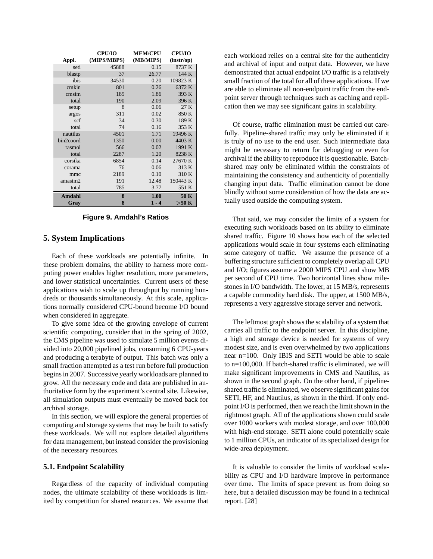|           | <b>CPU/IO</b> | <b>MEM/CPU</b> | <b>CPU/IO</b> |
|-----------|---------------|----------------|---------------|
| Appl.     | (MIPS/MBPS)   | (MB/MIPS)      | (instr(op)    |
| seti      | 45888         | 0.15           | 8737 K        |
| blastp    | 37            | 26.77          | 144 K         |
| ibis      | 34530         | 0.20           | 109823 K      |
| cmkin     | 801           | 0.26           | 6372 K        |
| cmsim     | 189           | 1.86           | 393 K         |
| total     | 190           | 2.09           | 396 K         |
| setup     | 8             | 0.06           | 27 K          |
| argos     | 311           | 0.02           | 850 K         |
| scf       | 34            | 0.30           | 189 K         |
| total     | 74            | 0.16           | 353 K         |
| nautilus  | 4501          | 1.71           | 19496 K       |
| bin2coord | 1350          | 0.00           | 4403 K        |
| rasmol    | 566           | 0.02           | 1991 K        |
| total     | 2287          | 1.20           | 8238 K        |
| corsika   | 6854          | 0.14           | 27670 K       |
| corama    | 76            | 0.06           | 313 K         |
| mmc       | 2189          | 0.10           | 310 K         |
| amasim2   | 191           | 12.48          | 150443 K      |
| total     | 785           | 3.77           | 551 K         |
| Amdahl    | 8             | 1.00           | 50 K          |
| Gray      | 8             | $1 - 4$        | >50K          |

#### **Figure 9. Amdahl's Ratios**

#### **5. System Implications**

Each of these workloads are potentially infinite. In these problem domains, the ability to harness more computing power enables higher resolution, more parameters, and lower statistical uncertainties. Current users of these applications wish to scale up throughput by running hundreds or thousands simultaneously. At this scale, applications normally considered CPU-bound become I/O bound when considered in aggregate.

To give some idea of the growing envelope of current scientific computing, consider that in the spring of 2002, the CMS pipeline was used to simulate 5 million events divided into 20,000 pipelined jobs, consuming 6 CPU-years and producing a terabyte of output. This batch was only a small fraction attempted as a test run before full production begins in 2007. Successive yearly workloads are planned to grow. All the necessary code and data are published in authoritative form by the experiment's central site. Likewise, all simulation outputs must eventually be moved back for archival storage.

In this section, we will explore the general properties of computing and storage systems that may be built to satisfy these workloads. We will not explore detailed algorithms for data management, but instead consider the provisioning of the necessary resources.

#### **5.1. Endpoint Scalability**

Regardless of the capacity of individual computing nodes, the ultimate scalability of these workloads is limited by competition for shared resources. We assume that each workload relies on a central site for the authenticity and archival of input and output data. However, we have demonstrated that actual endpoint I/O traffic is a relatively small fraction of the total for all of these applications. If we are able to eliminate all non-endpoint traffic from the endpoint server through techniques such as caching and replication then we may see significant gains in scalability.

Of course, traffic elimination must be carried out carefully. Pipeline-shared traffic may only be eliminated if it is truly of no use to the end user. Such intermediate data might be necessary to return for debugging or even for archival if the ability to reproduce it is questionable. Batchshared may only be eliminated within the constraints of maintaining the consistency and authenticity of potentially changing input data. Traffic elimination cannot be done blindly without some consideration of how the data are actually used outside the computing system.

That said, we may consider the limits of a system for executing such workloads based on its ability to eliminate shared traffic. Figure 10 shows how each of the selected applications would scale in four systems each eliminating some category of traffic. We assume the presence of a buffering structure sufficient to completely overlap all CPU and I/O; figures assume a 2000 MIPS CPU and show MB per second of CPU time. Two horizontal lines show milestones in I/O bandwidth. The lower, at 15 MB/s, represents a capable commodity hard disk. The upper, at 1500 MB/s, represents a very aggressive storage server and network.

The leftmost graph shows the scalability of a system that carries all traffic to the endpoint server. In this discipline, a high end storage device is needed for systems of very modest size, and is even overwhelmed by two applications near n=100. Only IBIS and SETI would be able to scale to n=100,000. If batch-shared traffic is eliminated, we will make significant improvements in CMS and Nautilus, as shown in the second graph. On the other hand, if pipelineshared traffic is eliminated, we observe significant gains for SETI, HF, and Nautilus, as shown in the third. If only endpoint I/O is performed, then we reach the limit shown in the rightmost graph. All of the applications shown could scale over 1000 workers with modest storage, and over 100,000 with high-end storage. SETI alone could potentially scale to 1 million CPUs, an indicator of its specialized design for wide-area deployment.

It is valuable to consider the limits of workload scalability as CPU and I/O hardware improve in performance over time. The limits of space prevent us from doing so here, but a detailed discussion may be found in a technical report. [28]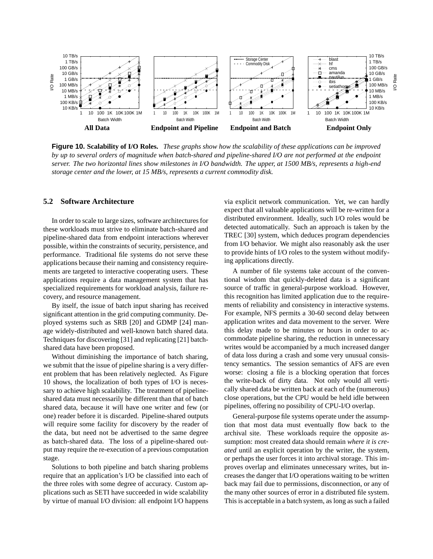

**Figure 10. Scalability of I/O Roles.** These graphs show how the scalability of these applications can be improved by up to several orders of magnitude when batch-shared and pipeline-shared I/O are not performed at the endpoint server. The two horizontal lines show milestones in I/O bandwidth. The upper, at 1500 MB/s, represents a high-end *storage center and the lower, at 15 MB/s, represents a current commodity disk.*

#### **5.2 Software Architecture**

In order to scale to large sizes, software architectures for these workloads must strive to eliminate batch-shared and pipeline-shared data from endpoint interactions wherever possible, within the constraints of security, persistence, and performance. Traditional file systems do not serve these applications because their naming and consistency requirements are targeted to interactive cooperating users. These applications require a data management system that has specialized requirements for workload analysis, failure recovery, and resource management.

By itself, the issue of batch input sharing has received significant attention in the grid computing community. Deployed systems such as SRB [20] and GDMP [24] manage widely-distributed and well-known batch shared data. Techniques for discovering [31] and replicating [21] batchshared data have been proposed.

Without diminishing the importance of batch sharing, we submit that the issue of pipeline sharing is a very different problem that has been relatively neglected. As Figure 10 shows, the localization of both types of I/O is necessary to achieve high scalability. The treatment of pipelineshared data must necessarily be different than that of batch shared data, because it will have one writer and few (or one) reader before it is discarded. Pipeline-shared outputs will require some facility for discovery by the reader of the data, but need not be advertised to the same degree as batch-shared data. The loss of a pipeline-shared output may require the re-execution of a previous computation stage.

Solutions to both pipeline and batch sharing problems require that an application's I/O be classified into each of the three roles with some degree of accuracy. Custom applications such as SETI have succeeded in wide scalability by virtue of manual I/O division: all endpoint I/O happens via explicit network communication. Yet, we can hardly expect that all valuable applications will be re-written for a distributed environment. Ideally, such I/O roles would be detected automatically. Such an approach is taken by the TREC [30] system, which deduces program dependencies from I/O behavior. We might also reasonably ask the user to provide hints of I/O roles to the system without modifying applications directly.

A number of file systems take account of the conventional wisdom that quickly-deleted data is a significant source of traffic in general-purpose workload. However, this recognition has limited application due to the requirements of reliability and consistency in interactive systems. For example, NFS permits a 30-60 second delay between application writes and data movement to the server. Were this delay made to be minutes or hours in order to accommodate pipeline sharing, the reduction in unnecessary writes would be accompanied by a much increased danger of data loss during a crash and some very unusual consistency semantics. The session semantics of AFS are even worse: closing a file is a blocking operation that forces the write-back of dirty data. Not only would all vertically shared data be written back at each of the (numerous) close operations, but the CPU would be held idle between pipelines, offering no possibility of CPU-I/O overlap.

General-purpose file systems operate under the assumption that most data must eventually flow back to the archival site. These workloads require the opposite assumption: most created data should remain *where it is created* until an explicit operation by the writer, the system, or perhaps the user forces it into archival storage. This improves overlap and eliminates unnecessary writes, but increases the danger that I/O operations waiting to be written back may fail due to permissions, disconnection, or any of the many other sources of error in a distributed file system. This is acceptable in a batch system, as long as such a failed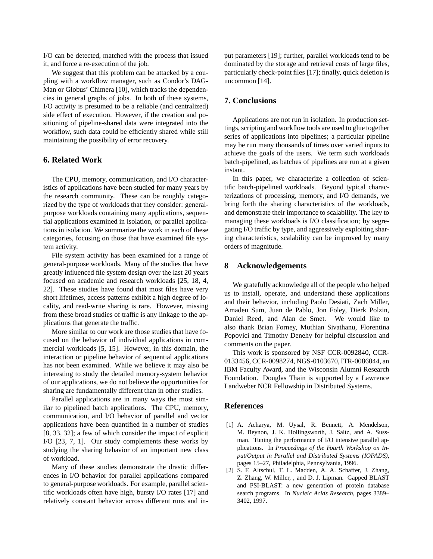I/O can be detected, matched with the process that issued it, and force a re-execution of the job.

We suggest that this problem can be attacked by a coupling with a workflow manager, such as Condor's DAG-Man or Globus' Chimera [10], which tracks the dependencies in general graphs of jobs. In both of these systems, I/O activity is presumed to be a reliable (and centralized) side effect of execution. However, if the creation and positioning of pipeline-shared data were integrated into the workflow, such data could be efficiently shared while still maintaining the possibility of error recovery.

## **6. Related Work**

The CPU, memory, communication, and I/O characteristics of applications have been studied for many years by the research community. These can be roughly categorized by the type of workloads that they consider: generalpurpose workloads containing many applications, sequential applications examined in isolation, or parallel applications in isolation. We summarize the work in each of these categories, focusing on those that have examined file system activity.

File system activity has been examined for a range of general-purpose workloads. Many of the studies that have greatly influenced file system design over the last 20 years focused on academic and research workloads [25, 18, 4, 22]. These studies have found that most files have very short lifetimes, access patterns exhibit a high degree of locality, and read-write sharing is rare. However, missing from these broad studies of traffic is any linkage to the applications that generate the traffic.

More similar to our work are those studies that have focused on the behavior of individual applications in commercial workloads [5, 15]. However, in this domain, the interaction or pipeline behavior of sequential applications has not been examined. While we believe it may also be interesting to study the detailed memory-system behavior of our applications, we do not believe the opportunities for sharing are fundamentally different than in other studies.

Parallel applications are in many ways the most similar to pipelined batch applications. The CPU, memory, communication, and I/O behavior of parallel and vector applications have been quantified in a number of studies [8, 33, 32]; a few of which consider the impact of explicit I/O [23, 7, 1]. Our study complements these works by studying the sharing behavior of an important new class of workload.

Many of these studies demonstrate the drastic differences in I/O behavior for parallel applications compared to general-purpose workloads. For example, parallel scientific workloads often have high, bursty I/O rates [17] and relatively constant behavior across different runs and input parameters [19]; further, parallel workloads tend to be dominated by the storage and retrieval costs of large files, particularly check-point files [17]; finally, quick deletion is uncommon [14].

## **7. Conclusions**

Applications are not run in isolation. In production settings, scripting and workflow tools are used to glue together series of applications into pipelines; a particular pipeline may be run many thousands of times over varied inputs to achieve the goals of the users. We term such workloads batch-pipelined, as batches of pipelines are run at a given instant.

In this paper, we characterize a collection of scientific batch-pipelined workloads. Beyond typical characterizations of processing, memory, and I/O demands, we bring forth the sharing characteristics of the workloads, and demonstrate their importance to scalability. The key to managing these workloads is I/O classification; by segregating I/O traffic by type, and aggressively exploiting sharing characteristics, scalability can be improved by many orders of magnitude.

# **8 Acknowledgements**

We gratefully acknowledge all of the people who helped us to install, operate, and understand these applications and their behavior, including Paolo Desiati, Zach Miller, Amadeu Sum, Juan de Pablo, Jon Foley, Dierk Polzin, Daniel Reed, and Alan de Smet. We would like to also thank Brian Forney, Muthian Sivathanu, Florentina Popovici and Timothy Denehy for helpful discussion and comments on the paper.

This work is sponsored by NSF CCR-0092840, CCR-0133456, CCR-0098274, NGS-0103670, ITR-0086044, an IBM Faculty Award, and the Wisconsin Alumni Research Foundation. Douglas Thain is supported by a Lawrence Landweber NCR Fellowship in Distributed Systems.

#### **References**

- [1] A. Acharya, M. Uysal, R. Bennett, A. Mendelson, M. Beynon, J. K. Hollingsworth, J. Saltz, and A. Sussman. Tuning the performance of I/O intensive parallel applications. In *Proceedings of the Fourth Workshop on Input/Output in Parallel and Distributed Systems (IOPADS)*, pages 15–27, Philadelphia, Pennsylvania, 1996.
- [2] S. F. Altschul, T. L. Madden, A. A. Schaffer, J. Zhang, Z. Zhang, W. Miller, , and D. J. Lipman. Gapped BLAST and PSI-BLAST: a new generation of protein database search programs. In *Nucleic Acids Research*, pages 3389– 3402, 1997.